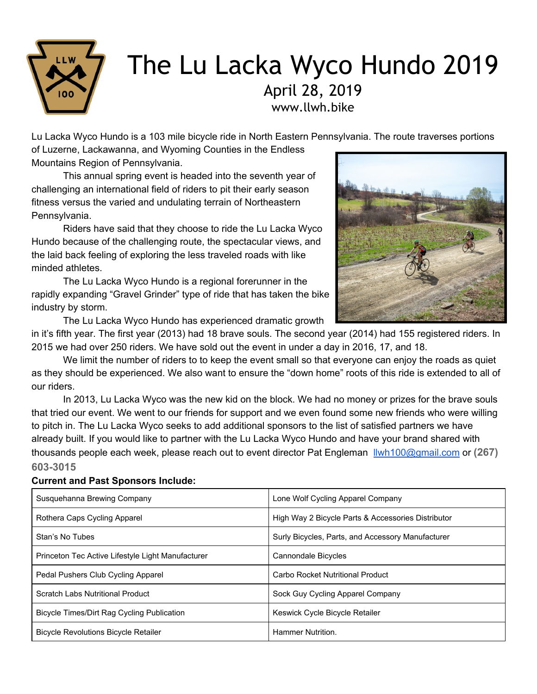

# The Lu Lacka Wyco Hundo 2019 April 28, 2019 www.llwh.bike

Lu Lacka Wyco Hundo is a 103 mile bicycle ride in North Eastern Pennsylvania. The route traverses portions

of Luzerne, Lackawanna, and Wyoming Counties in the Endless Mountains Region of Pennsylvania.

This annual spring event is headed into the seventh year of challenging an international field of riders to pit their early season fitness versus the varied and undulating terrain of Northeastern Pennsylvania.

Riders have said that they choose to ride the Lu Lacka Wyco Hundo because of the challenging route, the spectacular views, and the laid back feeling of exploring the less traveled roads with like minded athletes.

The Lu Lacka Wyco Hundo is a regional forerunner in the rapidly expanding "Gravel Grinder" type of ride that has taken the bike industry by storm.

The Lu Lacka Wyco Hundo has experienced dramatic growth



in it's fifth year. The first year (2013) had 18 brave souls. The second year (2014) had 155 registered riders. In 2015 we had over 250 riders. We have sold out the event in under a day in 2016, 17, and 18.

We limit the number of riders to to keep the event small so that everyone can enjoy the roads as quiet as they should be experienced. We also want to ensure the "down home" roots of this ride is extended to all of our riders.

In 2013, Lu Lacka Wyco was the new kid on the block. We had no money or prizes for the brave souls that tried our event. We went to our friends for support and we even found some new friends who were willing to pitch in. The Lu Lacka Wyco seeks to add additional sponsors to the list of satisfied partners we have already built. If you would like to partner with the Lu Lacka Wyco Hundo and have your brand shared with thousands people each week, please reach out to event director Pat Engleman [llwh100@gmail.com](mailto:llwh100@gmail.com) or **(267) 603-3015**

## **Current and Past Sponsors Include:**

| Susquehanna Brewing Company                       | Lone Wolf Cycling Apparel Company                  |  |
|---------------------------------------------------|----------------------------------------------------|--|
| Rothera Caps Cycling Apparel                      | High Way 2 Bicycle Parts & Accessories Distributor |  |
| Stan's No Tubes                                   | Surly Bicycles, Parts, and Accessory Manufacturer  |  |
| Princeton Tec Active Lifestyle Light Manufacturer | Cannondale Bicycles                                |  |
| Pedal Pushers Club Cycling Apparel                | Carbo Rocket Nutritional Product                   |  |
| Scratch Labs Nutritional Product                  | Sock Guy Cycling Apparel Company                   |  |
| Bicycle Times/Dirt Rag Cycling Publication        | Keswick Cycle Bicycle Retailer                     |  |
| <b>Bicycle Revolutions Bicycle Retailer</b>       | Hammer Nutrition.                                  |  |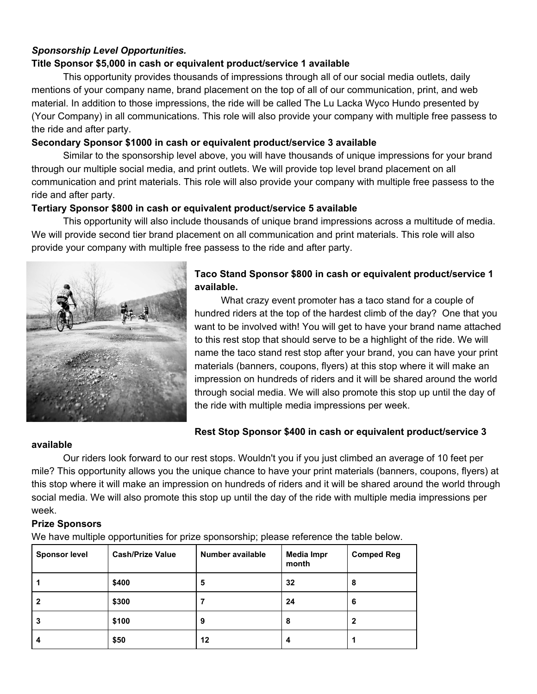# *Sponsorship Level Opportunities.*

## **Title Sponsor \$5,000 in cash or equivalent product/service 1 available**

This opportunity provides thousands of impressions through all of our social media outlets, daily mentions of your company name, brand placement on the top of all of our communication, print, and web material. In addition to those impressions, the ride will be called The Lu Lacka Wyco Hundo presented by (Your Company) in all communications. This role will also provide your company with multiple free passess to the ride and after party.

## **Secondary Sponsor \$1000 in cash or equivalent product/service 3 available**

Similar to the sponsorship level above, you will have thousands of unique impressions for your brand through our multiple social media, and print outlets. We will provide top level brand placement on all communication and print materials. This role will also provide your company with multiple free passess to the ride and after party.

#### **Tertiary Sponsor \$800 in cash or equivalent product/service 5 available**

This opportunity will also include thousands of unique brand impressions across a multitude of media. We will provide second tier brand placement on all communication and print materials. This role will also provide your company with multiple free passess to the ride and after party.



# **Taco Stand Sponsor \$800 in cash or equivalent product/service 1 available.**

What crazy event promoter has a taco stand for a couple of hundred riders at the top of the hardest climb of the day? One that you want to be involved with! You will get to have your brand name attached to this rest stop that should serve to be a highlight of the ride. We will name the taco stand rest stop after your brand, you can have your print materials (banners, coupons, flyers) at this stop where it will make an impression on hundreds of riders and it will be shared around the world through social media. We will also promote this stop up until the day of the ride with multiple media impressions per week.

# **Rest Stop Sponsor \$400 in cash or equivalent product/service 3**

#### **available**

Our riders look forward to our rest stops. Wouldn't you if you just climbed an average of 10 feet per mile? This opportunity allows you the unique chance to have your print materials (banners, coupons, flyers) at this stop where it will make an impression on hundreds of riders and it will be shared around the world through social media. We will also promote this stop up until the day of the ride with multiple media impressions per week.

## **Prize Sponsors**

We have multiple opportunities for prize sponsorship; please reference the table below.

| <b>Sponsor level</b> | <b>Cash/Prize Value</b> | Number available | Media Impr<br>month | <b>Comped Reg</b> |
|----------------------|-------------------------|------------------|---------------------|-------------------|
|                      | \$400                   | 5                | 32                  | 8                 |
| 2                    | \$300                   |                  | 24                  | 6                 |
| 3                    | \$100                   | 9                | 8                   | 2                 |
| 4                    | \$50                    | $12 \,$          | 4                   |                   |